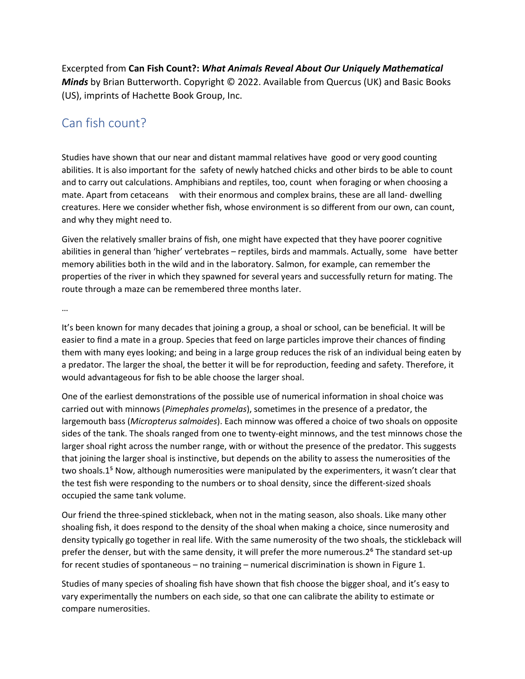Excerpted from **Can Fish Count?:** *What Animals Reveal About Our Uniquely Mathematical Minds* by Brian Butterworth. Copyright © 2022. Available from Quercus (UK) and Basic Books (US), imprints of Hachette Book Group, Inc.

## Can fish count?

Studies have shown that our near and distant mammal relatives have good or very good counting abilities. It is also important for the safety of newly hatched chicks and other birds to be able to count and to carry out calculations. Amphibians and reptiles, too, count when foraging or when choosing a mate. Apart from cetaceans with their enormous and complex brains, these are all land- dwelling creatures. Here we consider whether fish, whose environment is so different from our own, can count, and why they might need to.

Given the relatively smaller brains of fish, one might have expected that they have poorer cognitive abilities in general than 'higher' vertebrates – reptiles, birds and mammals. Actually, some have better memory abilities both in the wild and in the laboratory. Salmon, for example, can remember the properties of the river in which they spawned for several years and successfully return for mating. The route through a maze can be remembered three months later.

…

It's been known for many decades that joining a group, a shoal or school, can be beneficial. It will be easier to find a mate in a group. Species that feed on large particles improve their chances of finding them with many eyes looking; and being in a large group reduces the risk of an individual being eaten by a predator. The larger the shoal, the better it will be for reproduction, feeding and safety. Therefore, it would advantageous for fish to be able choose the larger shoal.

One of the earliest demonstrations of the possible use of numerical information in shoal choice was carried out with minnows (*Pimephales promelas*), sometimes in the presence of a predator, the largemouth bass (*Micropterus salmoides*). Each minnow was offered a choice of two shoals on opposite sides of the tank. The shoals ranged from one to twenty-eight minnows, and the test minnows chose the larger shoal right across the number range, with or without the presence of the predator. This suggests that joining the larger shoal is instinctive, but depends on the ability to assess the numerosities of the two shoals.1<sup>5</sup> Now, although numerosities were manipulated by the experimenters, it wasn't clear that the test fish were responding to the numbers or to shoal density, since the different-sized shoals occupied the same tank volume.

Our friend the three-spined stickleback, when not in the mating season, also shoals. Like many other shoaling fish, it does respond to the density of the shoal when making a choice, since numerosity and density typically go together in real life. With the same numerosity of the two shoals, the stickleback will prefer the denser, but with the same density, it will prefer the more numerous.2<sup>6</sup> The standard set-up for recent studies of spontaneous – no training – numerical discrimination is shown in Figure 1.

Studies of many species of shoaling fish have shown that fish choose the bigger shoal, and it's easy to vary experimentally the numbers on each side, so that one can calibrate the ability to estimate or compare numerosities.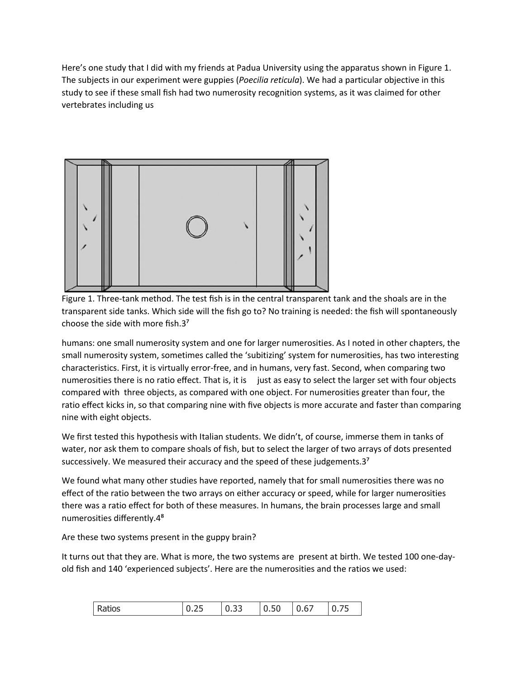Here's one study that I did with my friends at Padua University using the apparatus shown in Figure 1. The subjects in our experiment were guppies (*Poecilia reticula*). We had a particular objective in this study to see if these small fish had two numerosity recognition systems, as it was claimed for other vertebrates including us



Figure 1. Three-tank method. The test fish is in the central transparent tank and the shoals are in the transparent side tanks. Which side will the fish go to? No training is needed: the fish will spontaneously choose the side with more fish. $3^7$ 

humans: one small numerosity system and one for larger numerosities. As I noted in other chapters, the small numerosity system, sometimes called the 'subitizing' system for numerosities, has two interesting characteristics. First, it is virtually error-free, and in humans, very fast. Second, when comparing two numerosities there is no ratio effect. That is, it is just as easy to select the larger set with four objects compared with three objects, as compared with one object. For numerosities greater than four, the ratio effect kicks in, so that comparing nine with five objects is more accurate and faster than comparing nine with eight objects.

We first tested this hypothesis with Italian students. We didn't, of course, immerse them in tanks of water, nor ask them to compare shoals of fish, but to select the larger of two arrays of dots presented successively. We measured their accuracy and the speed of these judgements. $3<sup>7</sup>$ 

We found what many other studies have reported, namely that for small numerosities there was no effect of the ratio between the two arrays on either accuracy or speed, while for larger numerosities there was a ratio effect for both of these measures. In humans, the brain processes large and small numerosities differently.4⁸

Are these two systems present in the guppy brain?

It turns out that they are. What is more, the two systems are present at birth. We tested 100 one-dayold fish and 140 'experienced subjects'. Here are the numerosities and the ratios we used:

| .67<br>$\sim$<br>atios<br>-к;<br>51.<br>.<br>,.JU<br>ے ۔ |
|----------------------------------------------------------|
|----------------------------------------------------------|